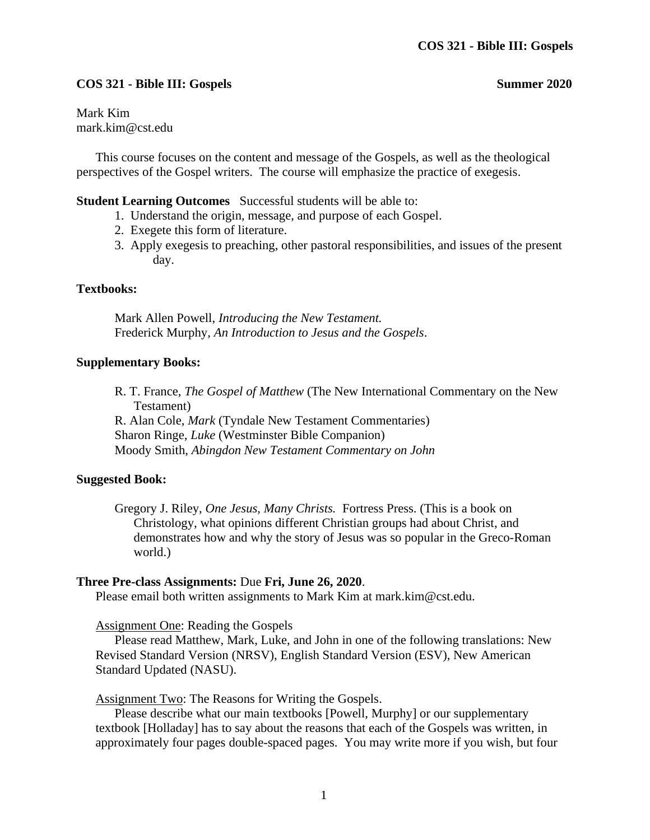# **COS 321 - Bible III: Gospels Summer 2020**

Mark Kim mark.kim@cst.edu

This course focuses on the content and message of the Gospels, as well as the theological perspectives of the Gospel writers. The course will emphasize the practice of exegesis.

**Student Learning Outcomes** Successful students will be able to:

- 1. Understand the origin, message, and purpose of each Gospel.
- 2. Exegete this form of literature.
- 3. Apply exegesis to preaching, other pastoral responsibilities, and issues of the present day.

#### **Textbooks:**

Mark Allen Powell, *Introducing the New Testament.* Frederick Murphy, *An Introduction to Jesus and the Gospels*.

### **Supplementary Books:**

R. T. France, *The Gospel of Matthew* (The New International Commentary on the New Testament) R. Alan Cole, *Mark* (Tyndale New Testament Commentaries) Sharon Ringe, *Luke* (Westminster Bible Companion) Moody Smith, *Abingdon New Testament Commentary on John*

### **Suggested Book:**

Gregory J. Riley, *One Jesus, Many Christs.* Fortress Press. (This is a book on Christology, what opinions different Christian groups had about Christ, and demonstrates how and why the story of Jesus was so popular in the Greco-Roman world.)

### **Three Pre-class Assignments:** Due **Fri, June 26, 2020**.

Please email both written assignments to Mark Kim at mark.kim@cst.edu.

Assignment One: Reading the Gospels

Please read Matthew, Mark, Luke, and John in one of the following translations: New Revised Standard Version (NRSV), English Standard Version (ESV), New American Standard Updated (NASU).

Assignment Two: The Reasons for Writing the Gospels.

Please describe what our main textbooks [Powell, Murphy] or our supplementary textbook [Holladay] has to say about the reasons that each of the Gospels was written, in approximately four pages double-spaced pages. You may write more if you wish, but four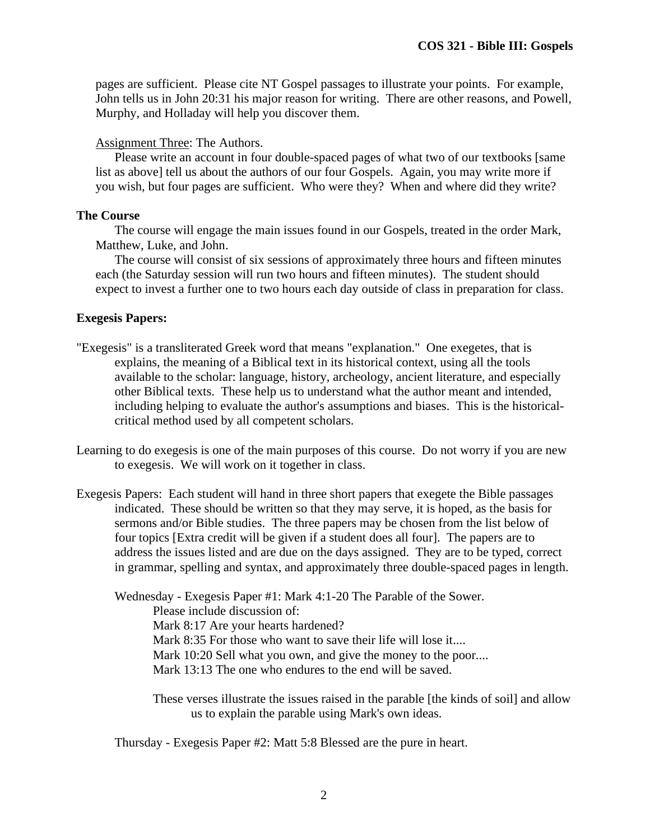pages are sufficient. Please cite NT Gospel passages to illustrate your points. For example, John tells us in John 20:31 his major reason for writing. There are other reasons, and Powell, Murphy, and Holladay will help you discover them.

## Assignment Three: The Authors.

Please write an account in four double-spaced pages of what two of our textbooks [same list as above] tell us about the authors of our four Gospels. Again, you may write more if you wish, but four pages are sufficient. Who were they? When and where did they write?

# **The Course**

The course will engage the main issues found in our Gospels, treated in the order Mark, Matthew, Luke, and John.

The course will consist of six sessions of approximately three hours and fifteen minutes each (the Saturday session will run two hours and fifteen minutes). The student should expect to invest a further one to two hours each day outside of class in preparation for class.

# **Exegesis Papers:**

- "Exegesis" is a transliterated Greek word that means "explanation." One exegetes, that is explains, the meaning of a Biblical text in its historical context, using all the tools available to the scholar: language, history, archeology, ancient literature, and especially other Biblical texts. These help us to understand what the author meant and intended, including helping to evaluate the author's assumptions and biases. This is the historicalcritical method used by all competent scholars.
- Learning to do exegesis is one of the main purposes of this course. Do not worry if you are new to exegesis. We will work on it together in class.
- Exegesis Papers: Each student will hand in three short papers that exegete the Bible passages indicated. These should be written so that they may serve, it is hoped, as the basis for sermons and/or Bible studies. The three papers may be chosen from the list below of four topics [Extra credit will be given if a student does all four]. The papers are to address the issues listed and are due on the days assigned. They are to be typed, correct in grammar, spelling and syntax, and approximately three double-spaced pages in length.

Wednesday - Exegesis Paper #1: Mark 4:1-20 The Parable of the Sower. Please include discussion of: Mark 8:17 Are your hearts hardened? Mark 8:35 For those who want to save their life will lose it.... Mark 10:20 Sell what you own, and give the money to the poor.... Mark 13:13 The one who endures to the end will be saved.

These verses illustrate the issues raised in the parable [the kinds of soil] and allow us to explain the parable using Mark's own ideas.

Thursday - Exegesis Paper #2: Matt 5:8 Blessed are the pure in heart.